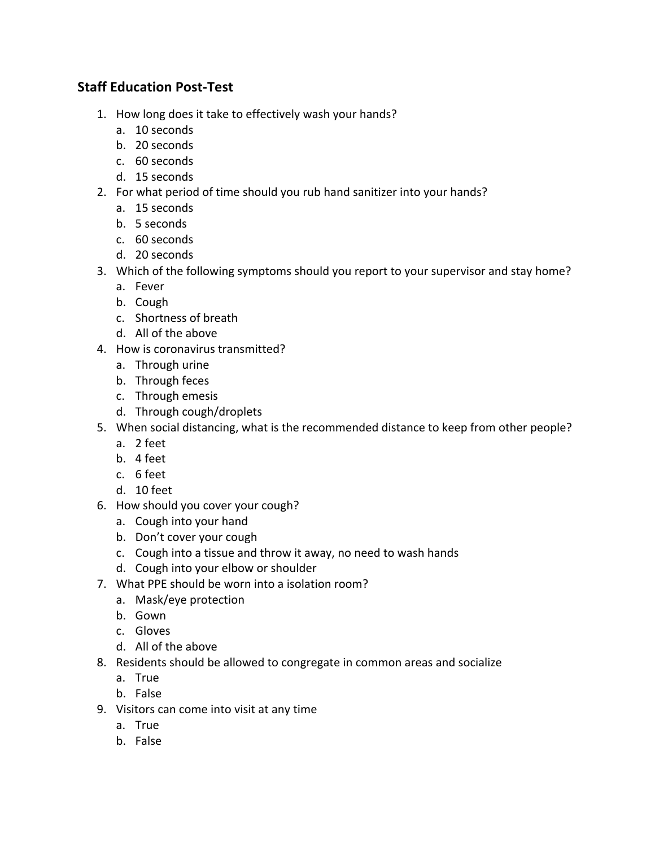## **Staff Education Post-Test**

- 1. How long does it take to effectively wash your hands?
	- a. 10 seconds
	- b. 20 seconds
	- c. 60 seconds
	- d. 15 seconds
- 2. For what period of time should you rub hand sanitizer into your hands?
	- a. 15 seconds
	- b. 5 seconds
	- c. 60 seconds
	- d. 20 seconds
- 3. Which of the following symptoms should you report to your supervisor and stay home?
	- a. Fever
	- b. Cough
	- c. Shortness of breath
	- d. All of the above
- 4. How is coronavirus transmitted?
	- a. Through urine
	- b. Through feces
	- c. Through emesis
	- d. Through cough/droplets
- 5. When social distancing, what is the recommended distance to keep from other people?
	- a. 2 feet
	- b. 4 feet
	- c. 6 feet
	- d. 10 feet
- 6. How should you cover your cough?
	- a. Cough into your hand
	- b. Don't cover your cough
	- c. Cough into a tissue and throw it away, no need to wash hands
	- d. Cough into your elbow or shoulder
- 7. What PPE should be worn into a isolation room?
	- a. Mask/eye protection
	- b. Gown
	- c. Gloves
	- d. All of the above
- 8. Residents should be allowed to congregate in common areas and socialize
	- a. True
	- b. False
- 9. Visitors can come into visit at any time
	- a. True
	- b. False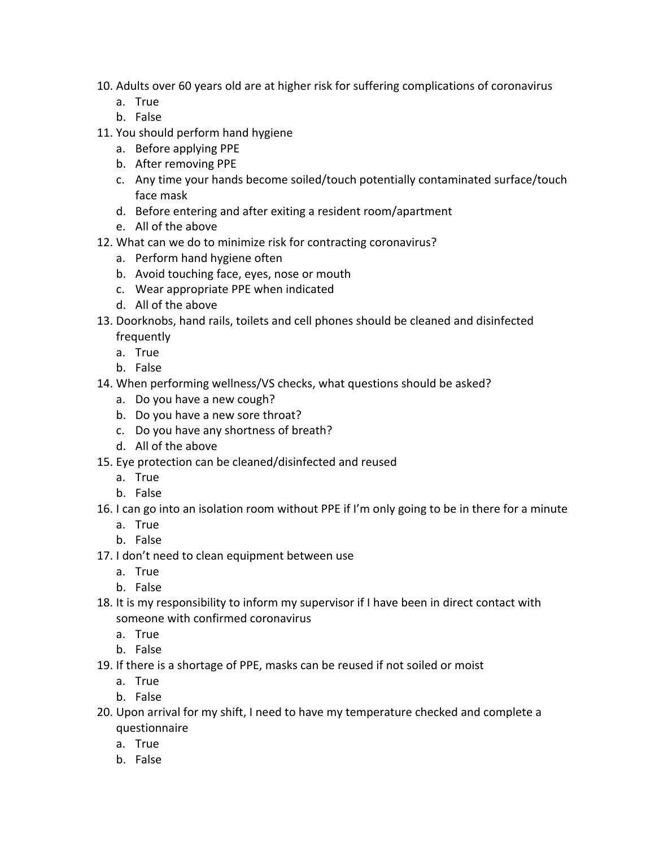- 10. Adults over 60 years old are at higher risk for suffering complications of coronavirus
	- a. True
	- b. False
- 11. You should perform hand hygiene
	- a. Before applying PPE
	- b. After removing PPE
	- c. Any time your hands become soiled/touch potentially contaminated surface/touch face mask
	- d. Before entering and after exiting a resident room/apartment
	- e. All of the above
- 12. What can we do to minimize risk for contracting coronavirus?
	- a. Perform hand hygiene often
	- b. Avoid touching face, eyes, nose or mouth
	- c. Wear appropriate PPE when indicated
	- d. All of the above
- 13. Doorknobs, hand rails, toilets and cell phones should be cleaned and disinfected frequently
	- a. True
	- b. False
- 14. When performing wellness/VS checks, what questions should be asked?
	- a. Do you have a new cough?
	- b. Do you have a new sore throat?
	- c. Do you have any shortness of breath?
	- d. All of the above
- 15. Eye protection can be cleaned/disinfected and reused
	- a. True
	- b. False
- 16. I can go into an isolation room without PPE if I'm only going to be in there for a minute
	- a. True
	- b. False
- 17. I don't need to clean equipment between use
	- a. True
	- b. False
- 18. It is my responsibility to inform my supervisor if I have been in direct contact with someone with confirmed coronavirus
	- a. True
	- b. False
- 19. If there is a shortage of PPE, masks can be reused if not soiled or moist
	- a. True
	- b. False
- 20. Upon arrival for my shift, I need to have my temperature checked and complete a questionnaire
	- a. True
	- b. False